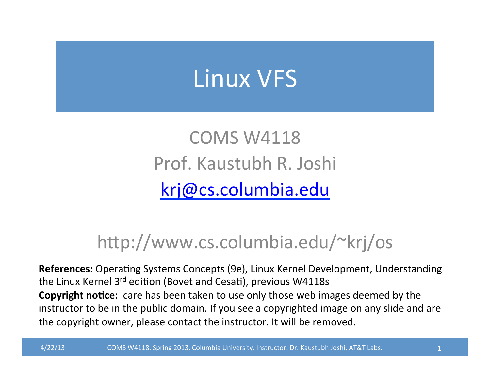## Linux VFS

COMS W4118 Prof. Kaustubh R. Joshi krj@cs.columbia.edu

#### http://www.cs.columbia.edu/~krj/os

**References:** Operating Systems Concepts (9e), Linux Kernel Development, Understanding the Linux Kernel  $3^{rd}$  edition (Bovet and Cesati), previous W4118s **Copyright notice:** care has been taken to use only those web images deemed by the instructor to be in the public domain. If you see a copyrighted image on any slide and are the copyright owner, please contact the instructor. It will be removed.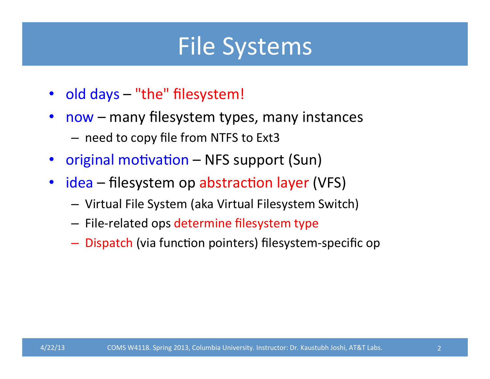### File Systems

- old days "the" filesystem!
- now many filesystem types, many instances
	- need to copy file from NTFS to Ext3
- original motivation NFS support (Sun)
- idea filesystem op abstraction layer (VFS)
	- Virtual File System (aka Virtual Filesystem Switch)
	- $-$  File-related ops determine filesystem type
	- $-$  Dispatch (via function pointers) filesystem-specific op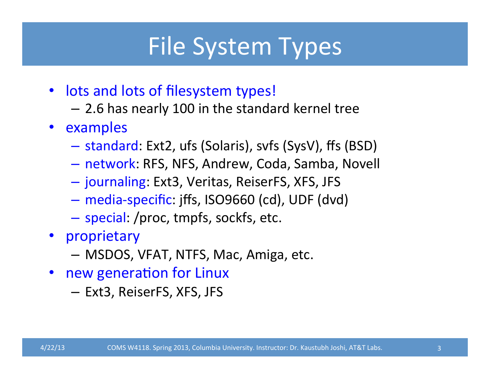### File System Types

- lots and lots of filesystem types!
	- $-$  2.6 has nearly 100 in the standard kernel tree
- examples
	- $-$  standard: Ext2, ufs (Solaris), svfs (SysV), ffs (BSD)
	- $-$  network: RFS, NFS, Andrew, Coda, Samba, Novell
	- $-$  journaling: Ext3, Veritas, ReiserFS, XFS, JFS
	- $-$  media-specific: jffs, ISO9660 (cd), UDF (dvd)
	- $-$  special: /proc, tmpfs, sockfs, etc.
- proprietary
	- $-$  MSDOS, VFAT, NTFS, Mac, Amiga, etc.
- new generation for Linux
	- Ext3, ReiserFS, XFS, JFS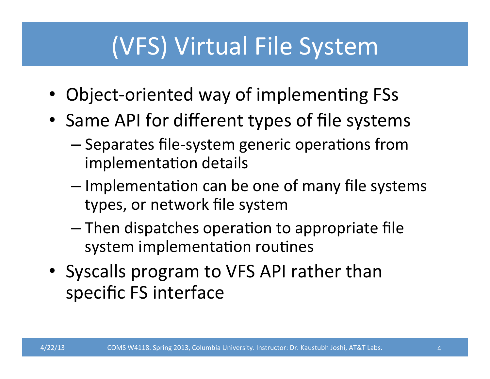### (VFS) Virtual File System

- Object-oriented way of implementing FSs
- Same API for different types of file systems
	- $-$  Separates file-system generic operations from implementation details
	- $-$  Implementation can be one of many file systems types, or network file system
	- $-$  Then dispatches operation to appropriate file system implementation routines
- Syscalls program to VFS API rather than specific FS interface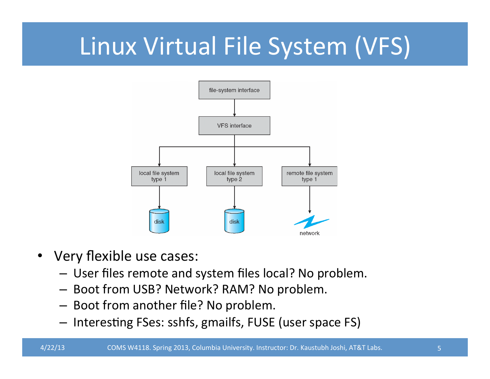## Linux Virtual File System (VFS)



- Very flexible use cases:
	- $-$  User files remote and system files local? No problem.
	- $-$  Boot from USB? Network? RAM? No problem.
	- $-$  Boot from another file? No problem.
	- $-$  Interesting FSes: sshfs, gmailfs, FUSE (user space FS)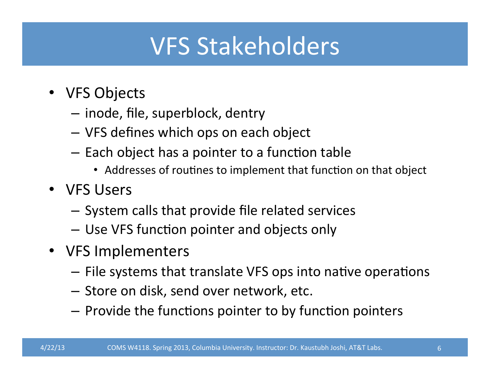### **VFS Stakeholders**

- VFS Objects
	- $-$  inode, file, superblock, dentry
	- VFS defines which ops on each object
	- $-$  Each object has a pointer to a function table
		- Addresses of routines to implement that function on that object
- VFS Users
	- $-$  System calls that provide file related services
	- $-$  Use VFS function pointer and objects only
- VFS Implementers
	- $-$  File systems that translate VFS ops into native operations
	- $-$  Store on disk, send over network, etc.
	- $-$  Provide the functions pointer to by function pointers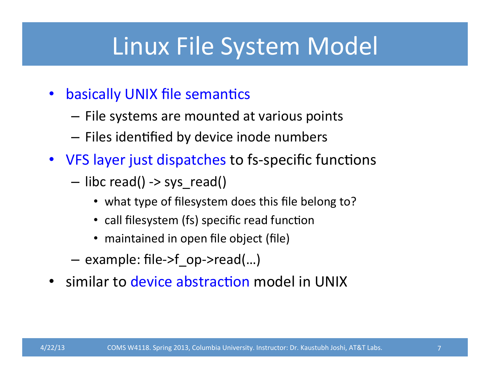### Linux File System Model

- basically UNIX file semantics
	- $-$  File systems are mounted at various points
	- $-$  Files identified by device inode numbers
- VFS layer just dispatches to fs-specific functions
	- $-$  libc read() -> sys read()
		- what type of filesystem does this file belong to?
		- call filesystem (fs) specific read function
		- maintained in open file object (file)
	- $-$  example: file->f op->read(...)
- similar to device abstraction model in UNIX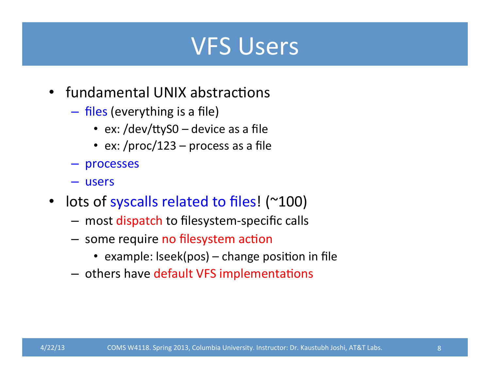#### VFS Users

- fundamental UNIX abstractions
	- $-$  files (everything is a file)
		- ex: /dev/ttyS0 device as a file
		- ex: /proc/123 process as a file
	- processes
	- users
- lots of syscalls related to files! (~100)
	- most dispatch to filesystem-specific calls
	- some require no filesystem action
		- example:  $lseek(pos) change position in file$
	- others have default VFS implementations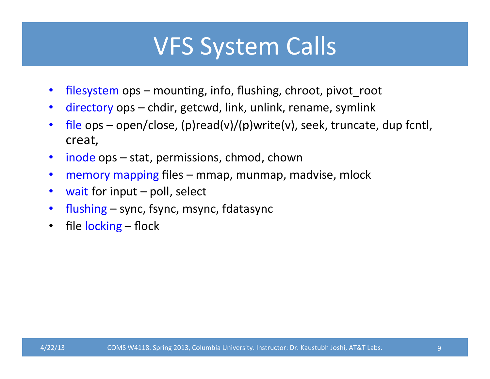### VFS System Calls

- filesystem ops mounting, info, flushing, chroot, pivot\_root
- directory ops chdir, getcwd, link, unlink, rename, symlink
- file ops open/close, (p)read(v)/(p)write(v), seek, truncate, dup fcntl, creat,
- inode ops stat, permissions, chmod, chown
- memory mapping files mmap, munmap, madvise, mlock
- wait for input  $-$  poll, select
- flushing  $-$  sync, fsync, msync, fdatasync
- file  $locking flock$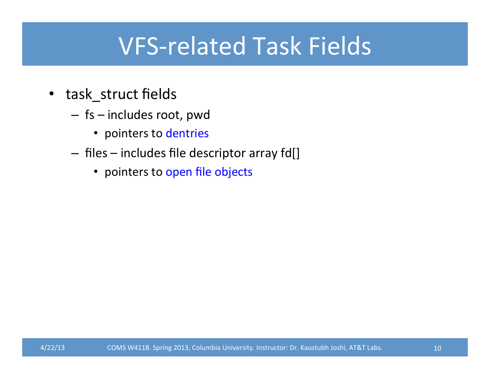### VFS-related Task Fields

- task\_struct fields
	- $-$  fs  $-$  includes root, pwd
		- pointers to dentries
	- $-$  files  $-$  includes file descriptor array fd[]
		- pointers to open file objects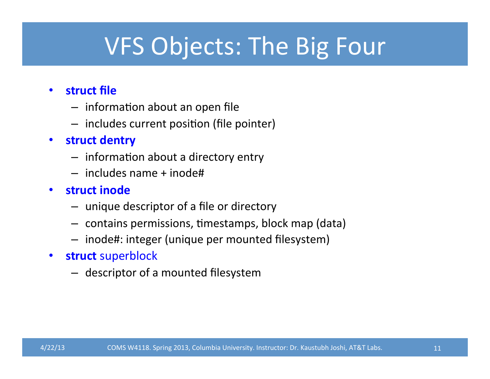### VFS Objects: The Big Four

#### • **struct** file

- $-$  information about an open file
- $-$  includes current position (file pointer)
- **struct dentry**
	- $-$  information about a directory entry
	- $-$  includes name  $+$  inode#
- **struct inode**
	- $-$  unique descriptor of a file or directory
	- $-$  contains permissions, timestamps, block map (data)
	- $-$  inode#: integer (unique per mounted filesystem)
- **struct** superblock
	- $-$  descriptor of a mounted filesystem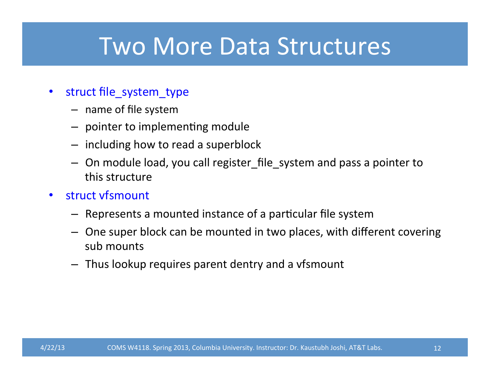#### Two More Data Structures

- struct file\_system\_type
	- $-$  name of file system
	- $-$  pointer to implementing module
	- $-$  including how to read a superblock
	- $-$  On module load, you call register\_file\_system and pass a pointer to this structure
- struct vfsmount
	- $-$  Represents a mounted instance of a particular file system
	- $-$  One super block can be mounted in two places, with different covering sub mounts
	- $-$  Thus lookup requires parent dentry and a vfsmount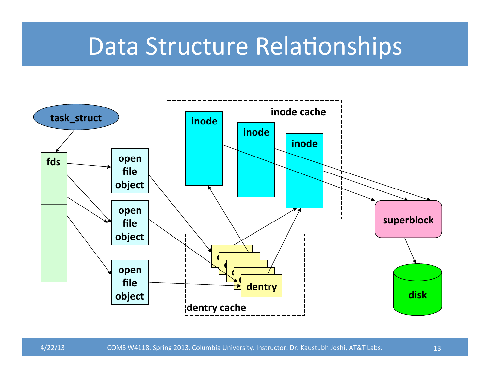#### Data Structure Relationships

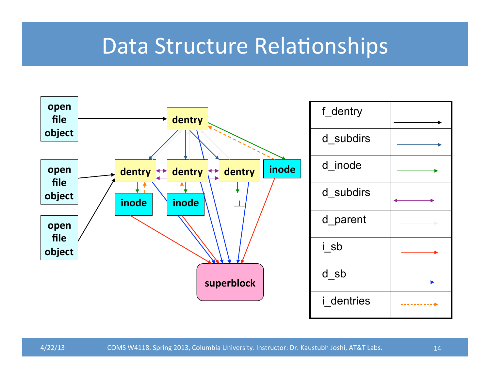#### Data Structure Relationships

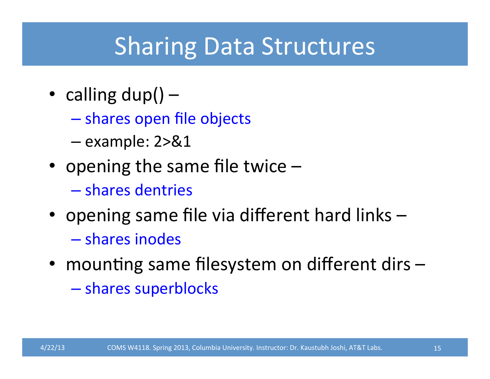### **Sharing Data Structures**

- calling  $dup()$ 
	- shares open file objects
	- $-$  example:  $2 > 81$
- opening the same file twice  $-$ 
	- shares dentries
- opening same file via different hard links  $-$  shares inodes
- mounting same filesystem on different dirs -
	- shares superblocks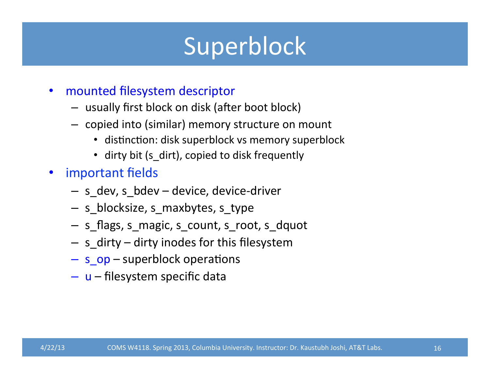### Superblock

- mounted filesystem descriptor
	- $-$  usually first block on disk (after boot block)
	- $-$  copied into (similar) memory structure on mount
		- distinction: disk superblock vs memory superblock
		- dirty bit (s dirt), copied to disk frequently
- important fields
	- $-$  s dev, s bdev device, device-driver
	- s\_blocksize, s\_maxbytes, s\_type
	- $-$  s\_flags, s\_magic, s\_count, s\_root, s\_dquot
	- $-$  s dirty dirty inodes for this filesystem
	- $-$  s\_op  $-$  superblock operations
	- $-$  u filesystem specific data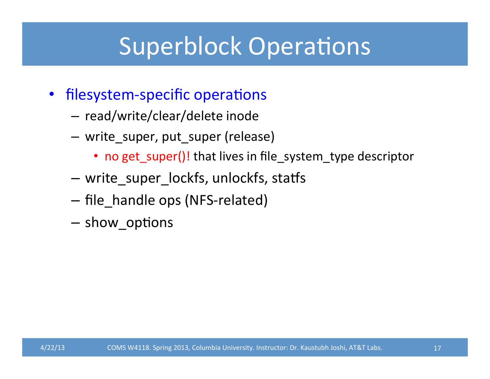### **Superblock Operations**

- filesystem-specific operations
	- read/write/clear/delete inode
	- $-$  write\_super, put\_super (release)
		- no get\_super()! that lives in file\_system\_type descriptor
	- write\_super\_lockfs, unlockfs, statfs
	- file\_handle ops (NFS-related)
	- $-$  show\_options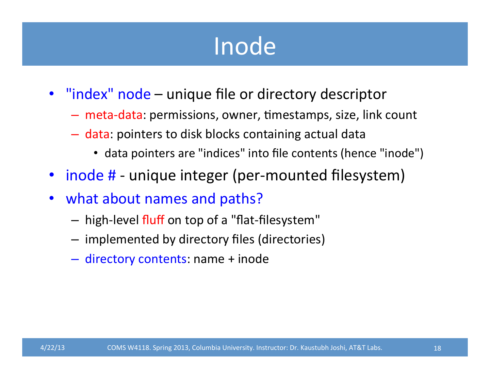### Inode

- "index" node unique file or directory descriptor
	- $-$  meta-data: permissions, owner, timestamps, size, link count
	- $-$  data: pointers to disk blocks containing actual data
		- data pointers are "indices" into file contents (hence "inode")
- inode # unique integer (per-mounted filesystem)
- what about names and paths?
	- high-level fluff on top of a "flat-filesystem"
	- $-$  implemented by directory files (directories)
	- $-$  directory contents: name + inode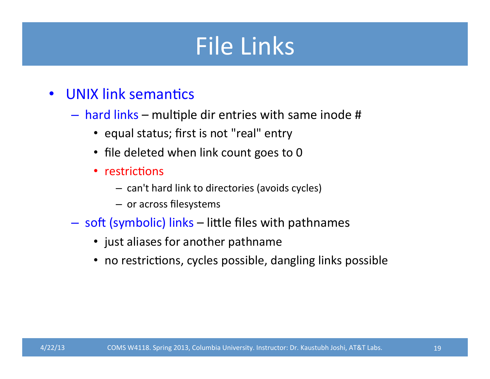### File Links

- UNIX link semantics
	- $-$  hard links multiple dir entries with same inode #
		- equal status; first is not "real" entry
		- file deleted when link count goes to 0
		- restrictions
			- $-$  can't hard link to directories (avoids cycles)
			- or across filesystems
	- soft (symbolic) links little files with pathnames
		- just aliases for another pathname
		- no restrictions, cycles possible, dangling links possible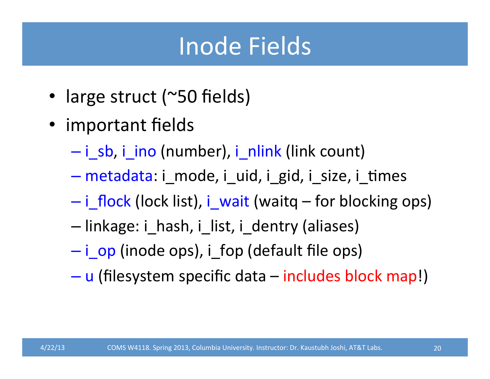### Inode Fields

- large struct (~50 fields)
- important fields
	- $-$  i sb, i ino (number), i nlink (link count)
	- $-$  metadata: i\_mode, i\_uid, i\_gid, i\_size, i\_times
	- $-$  i flock (lock list), i wait (waitq for blocking ops)
	- linkage: i\_hash, i\_list, i\_dentry (aliases)
	- $-$  i op (inode ops), i fop (default file ops)
	- $-$  u (filesystem specific data includes block map!)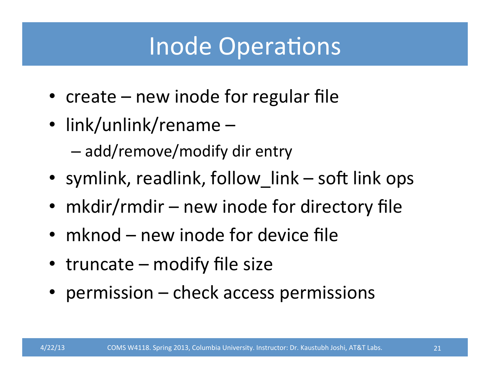### **Inode Operations**

- create  $-$  new inode for regular file
- link/unlink/rename  $-$ 
	- $-$  add/remove/modify dir entry
- symlink, readlink, follow\_link  $-$  soft link ops
- mkdir/rmdir new inode for directory file
- mknod  $-$  new inode for device file
- truncate  $-$  modify file size
- permission check access permissions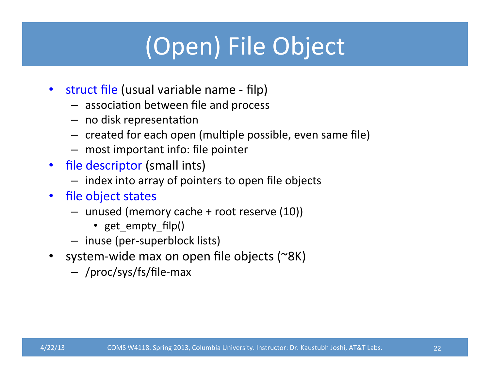# (Open) File Object

- struct file (usual variable name filp)
	- $-$  association between file and process
	- $-$  no disk representation
	- $-$  created for each open (multiple possible, even same file)
	- $-$  most important info: file pointer
- file descriptor (small ints)
	- $-$  index into array of pointers to open file objects
- file object states
	- $-$  unused (memory cache  $+$  root reserve (10))
		- get\_empty\_filp()
	- inuse (per-superblock lists)
- system-wide max on open file objects (~8K)
	- /proc/sys/fs/file-max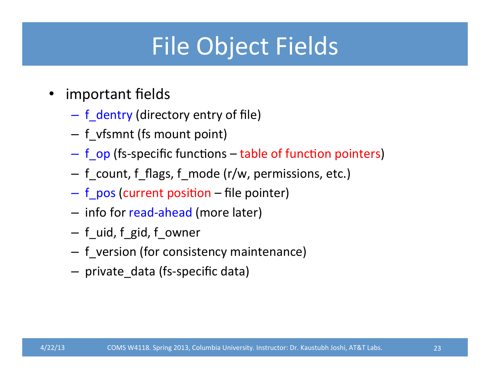## File Object Fields

- important fields
	- $-$  f\_dentry (directory entry of file)
	- $-$  f\_vfsmnt (fs mount point)
	- $-$  f op (fs-specific functions table of function pointers)
	- $-$  f\_count, f\_flags, f\_mode (r/w, permissions, etc.)
	- $-$  f\_pos (current position file pointer)
	- $-$  info for read-ahead (more later)
	- $-$  f uid, f gid, f owner
	- $-$  f\_version (for consistency maintenance)
	- private\_data (fs-specific data)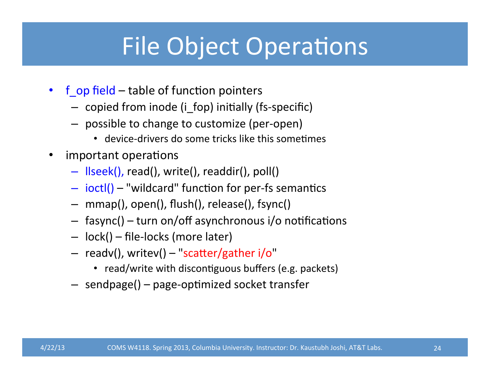### File Object Operations

- f op field  $-$  table of function pointers
	- $-$  copied from inode (i\_fop) initially (fs-specific)
	- $-$  possible to change to customize (per-open)
		- $\bullet$  device-drivers do some tricks like this sometimes
- important operations
	- Ilseek(), read(), write(), readdir(), poll()
	- $-$  ioctl() "wildcard" function for per-fs semantics
	- $-$  mmap(), open(), flush(), release(), fsync()
	- $-$  fasync() turn on/off asynchronous i/o notifications
	- lock() file-locks (more later)
	- $-$  readv(), writev()  $-$  "scatter/gather i/o"
		- read/write with discontiguous buffers (e.g. packets)
	- $-$  sendpage() page-optimized socket transfer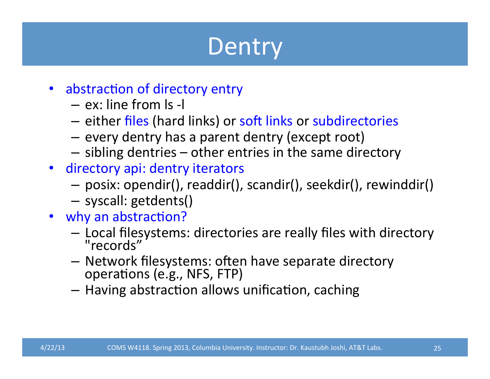### **Dentry**

- abstraction of directory entry
	- $-$  ex: line from  $\vert$ s -l
	- $-$  either files (hard links) or soft links or subdirectories
	- $-$  every dentry has a parent dentry (except root)
	- $-$  sibling dentries  $-$  other entries in the same directory
- directory api: dentry iterators
	- $-$  posix: opendir(), readdir(), scandir(), seekdir(), rewinddir()
	- syscall: getdents()
- why an abstraction?
	- Local filesystems: directories are really files with directory<br>"records"
	- Network filesystems: often have separate directory<br>operations (e.g., NFS, FTP)
	- $-$  Having abstraction allows unification, caching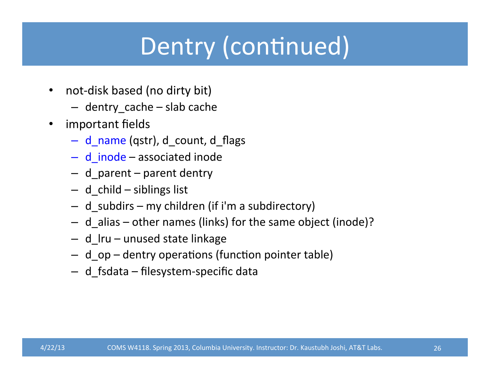## Dentry (continued)

- not-disk based (no dirty bit)
	- $-$  dentry\_cache  $-$  slab cache
- important fields
	- d\_name (qstr), d\_count, d\_flags
	- $-$  d\_inode  $-$  associated inode
	- $-$  d parent  $-$  parent dentry
	- $-$  d child siblings list
	- $-$  d subdirs my children (if i'm a subdirectory)
	- $-$  d\_alias  $-$  other names (links) for the same object (inode)?
	- $-$  d\_lru  $-$  unused state linkage
	- d\_op dentry operations (function pointer table)
	- $-$  d fsdata filesystem-specific data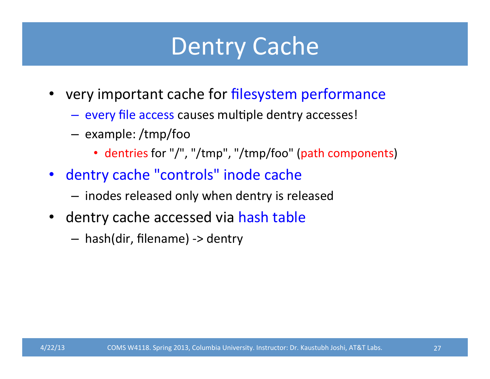### Dentry Cache

- very important cache for filesystem performance
	- every file access causes multiple dentry accesses!
	- example: /tmp/foo
		- dentries for "/", "/tmp", "/tmp/foo" (path components)
- dentry cache "controls" inode cache
	- $-$  inodes released only when dentry is released
- dentry cache accessed via hash table
	- $-$  hash(dir, filename) -> dentry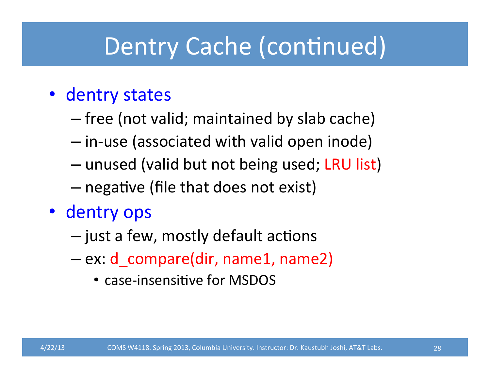### Dentry Cache (continued)

#### • dentry states

- $-$  free (not valid; maintained by slab cache)
- $-$  in-use (associated with valid open inode)
- unused (valid but not being used; LRU list)
- $-$  negative (file that does not exist)
- dentry ops
	- $-$  just a few, mostly default actions
	- $-$  ex: d\_compare(dir, name1, name2)
		- case-insensitive for MSDOS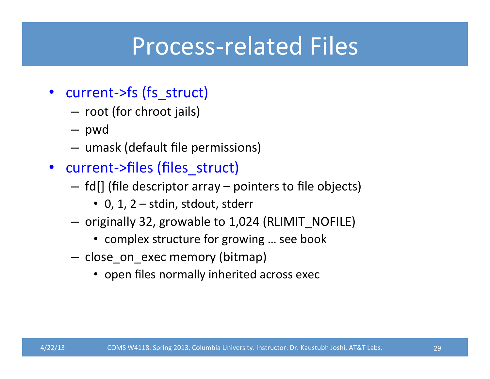### Process-related Files

- current->fs (fs struct)
	- $-$  root (for chroot jails)
	- pwd
	- $-$  umask (default file permissions)
- current->files (files\_struct)
	- $-$  fd[] (file descriptor array  $-$  pointers to file objects)
		- $\cdot$  0, 1, 2 stdin, stdout, stderr
	- originally 32, growable to 1,024 (RLIMIT\_NOFILE)
		- complex structure for growing ... see book
	- close\_on\_exec memory (bitmap)
		- open files normally inherited across exec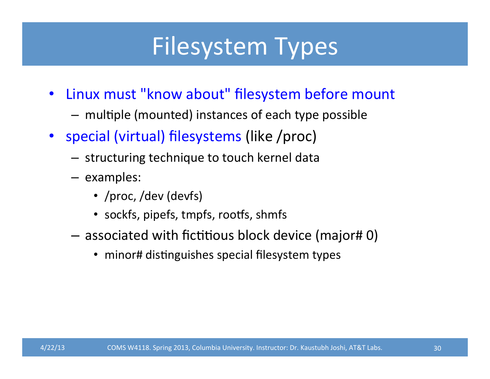### Filesystem Types

- Linux must "know about" filesystem before mount
	- $-$  multiple (mounted) instances of each type possible
- special (virtual) filesystems (like /proc)
	- $-$  structuring technique to touch kernel data
	- examples:
		- /proc, /dev (devfs)
		- sockfs, pipefs, tmpfs, rootfs, shmfs
	- $-$  associated with fictitious block device (major# 0)
		- minor# distinguishes special filesystem types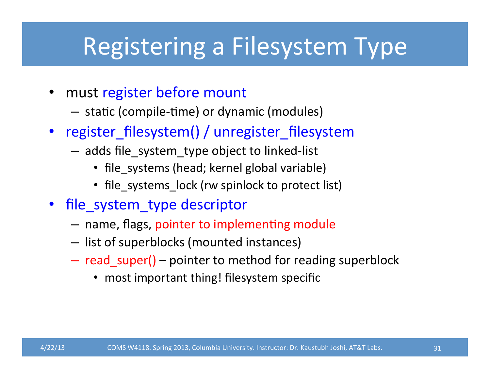### Registering a Filesystem Type

- must register before mount
	- $-$  static (compile-time) or dynamic (modules)
- register filesystem() / unregister filesystem
	- $-$  adds file system type object to linked-list
		- file\_systems (head; kernel global variable)
		- file\_systems\_lock (rw spinlock to protect list)
- file\_system\_type descriptor
	- name, flags, pointer to implementing module
	- $-$  list of superblocks (mounted instances)
	- $-$  read\_super() pointer to method for reading superblock
		- most important thing! filesystem specific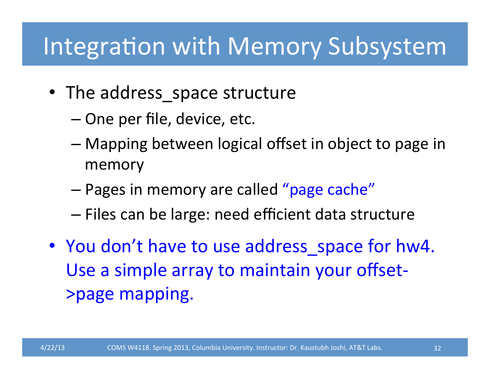### Integration with Memory Subsystem

- The address space structure
	- One per file, device, etc.
	- $-$  Mapping between logical offset in object to page in memory
	- Pages in memory are called "page cache"
	- Files can be large: need efficient data structure
- You don't have to use address space for hw4. Use a simple array to maintain your offset->page mapping.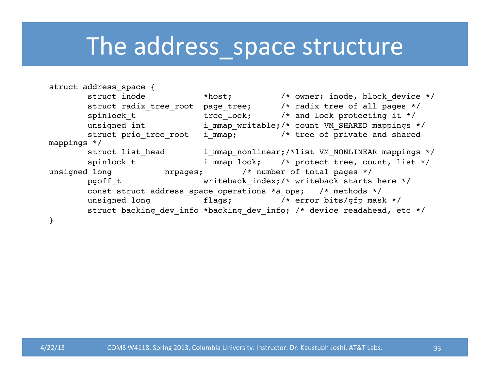#### The address\_space structure

```
struct address space {
       struct inode *host; \overline{\qquad} /* owner: inode, block device */
       struct radix tree root page tree; /* radix tree of all pages */
       spinlock t tree lock; /* and lock protecting it */
      unsigned int immap writable;/* count VM SHARED mappings */
       struct prio tree root i mmap; /* tree of private and shared
mappings */
       struct list head immap nonlinear;/*list VM_NONLINEAR mappings */
       spinlock t immap lock; /* protect tree, count, list */
unsigned long mrpages; \frac{1}{2} /* number of total pages */
       pgoff t writeback index;/* writeback starts here */
       const struct address space operations *a_ops; /* methods */
       unsigned long flags; \frac{1}{2} /* error bits/gfp mask */
       struct backing dev info *backing dev info; /* device readahead, etc */
}
```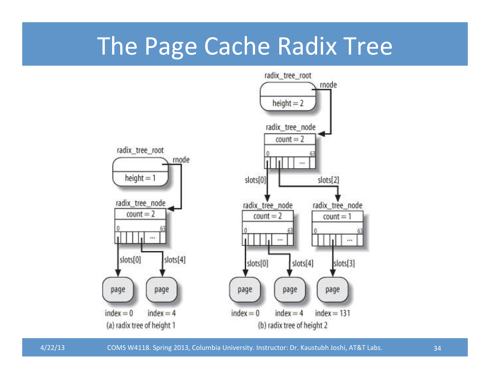#### The Page Cache Radix Tree



4/22/13 COMS W4118. Spring 2013, Columbia University. Instructor: Dr. Kaustubh Joshi, AT&T Labs. 34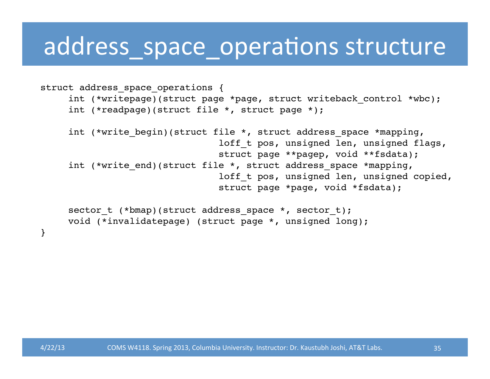#### address\_space\_operations structure

```
struct address space operations {
     int (*writepage)(struct page *page, struct writeback control *wbc);
      int (*readpage)(struct file *, struct page *);
     int (*write begin)(struct file *, struct address space *mapping,
                                loff t pos, unsigned len, unsigned flags,
                                 struct page **pagep, void **fsdata);
     int (*write end)(struct file *, struct address space *mapping,
                                loff t pos, unsigned len, unsigned copied,
                                 struct page *page, void *fsdata);
     sector t (*bmap)(struct address space *, sector t);
     void (*invalidatepage) (struct page *, unsigned long);
}
```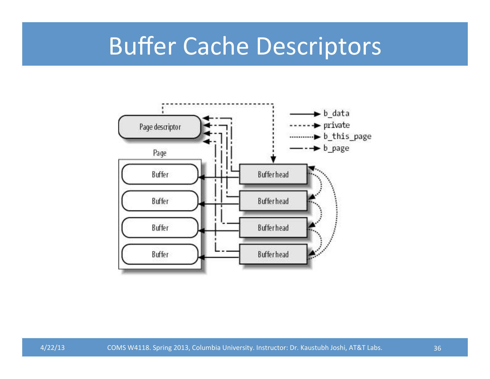### **Buffer Cache Descriptors**

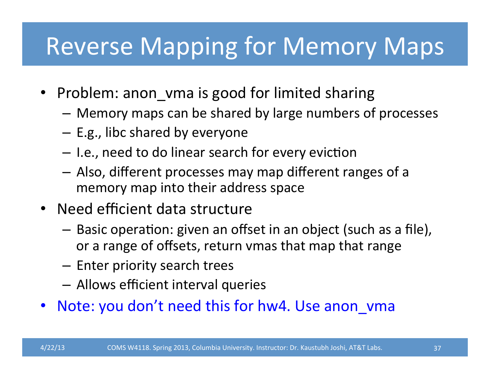### Reverse Mapping for Memory Maps

- Problem: anon vma is good for limited sharing
	- $-$  Memory maps can be shared by large numbers of processes
	- $-$  E.g., libc shared by everyone
	- $-$  I.e., need to do linear search for every eviction
	- $-$  Also, different processes may map different ranges of a memory map into their address space
- Need efficient data structure
	- $-$  Basic operation: given an offset in an object (such as a file), or a range of offsets, return vmas that map that range
	- $-$  Enter priority search trees
	- $-$  Allows efficient interval queries
- Note: you don't need this for hw4. Use anon vma